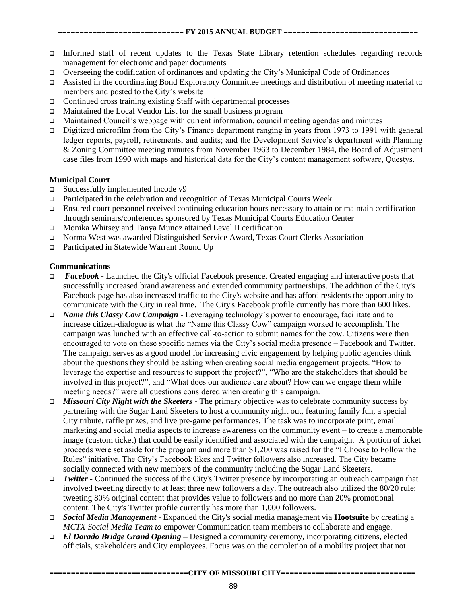- Informed staff of recent updates to the Texas State Library retention schedules regarding records management for electronic and paper documents
- $\Box$  Overseeing the codification of ordinances and updating the City's Municipal Code of Ordinances
- Assisted in the coordinating Bond Exploratory Committee meetings and distribution of meeting material to members and posted to the City's website
- $\Box$  Continued cross training existing Staff with departmental processes
- Maintained the Local Vendor List for the small business program
- Maintained Council's webpage with current information, council meeting agendas and minutes
- □ Digitized microfilm from the City's Finance department ranging in years from 1973 to 1991 with general ledger reports, payroll, retirements, and audits; and the Development Service's department with Planning & Zoning Committee meeting minutes from November 1963 to December 1984, the Board of Adjustment case files from 1990 with maps and historical data for the City's content management software, Questys.

## **Municipal Court**

- $\Box$  Successfully implemented Incode v9
- Participated in the celebration and recognition of Texas Municipal Courts Week
- □ Ensured court personnel received continuing education hours necessary to attain or maintain certification through seminars/conferences sponsored by Texas Municipal Courts Education Center
- Monika Whitsey and Tanya Munoz attained Level II certification
- Norma West was awarded Distinguished Service Award, Texas Court Clerks Association
- □ Participated in Statewide Warrant Round Up

## **Communications**

- *Facebook* Launched the City's official Facebook presence. Created engaging and interactive posts that successfully increased brand awareness and extended community partnerships. The addition of the City's Facebook page has also increased traffic to the City's website and has afford residents the opportunity to communicate with the City in real time. The City's Facebook profile currently has more than 600 likes.
- *Name this Classy Cow Campaign* Leveraging technology's power to encourage, facilitate and to increase citizen-dialogue is what the "Name this Classy Cow" campaign worked to accomplish. The campaign was lunched with an effective call-to-action to submit names for the cow. Citizens were then encouraged to vote on these specific names via the City's social media presence – Facebook and Twitter. The campaign serves as a good model for increasing civic engagement by helping public agencies think about the questions they should be asking when creating social media engagement projects. "How to leverage the expertise and resources to support the project?", "Who are the stakeholders that should be involved in this project?", and "What does our audience care about? How can we engage them while meeting needs?" were all questions considered when creating this campaign.
- *Missouri City Night with the Skeeters* The primary objective was to celebrate community success by partnering with the Sugar Land Skeeters to host a community night out, featuring family fun, a special City tribute, raffle prizes, and live pre-game performances. The task was to incorporate print, email marketing and social media aspects to increase awareness on the community event – to create a memorable image (custom ticket) that could be easily identified and associated with the campaign. A portion of ticket proceeds were set aside for the program and more than \$1,200 was raised for the "I Choose to Follow the Rules" initiative. The City's Facebook likes and Twitter followers also increased. The City became socially connected with new members of the community including the Sugar Land Skeeters.
- *Twitter* Continued the success of the City's Twitter presence by incorporating an outreach campaign that involved tweeting directly to at least three new followers a day. The outreach also utilized the 80/20 rule; tweeting 80% original content that provides value to followers and no more than 20% promotional content. The City's Twitter profile currently has more than 1,000 followers.
- *Social Media Management* Expanded the City's social media management via **Hootsuite** by creating a *MCTX Social Media Team to* empower Communication team members to collaborate and engage.
- *El Dorado Bridge Grand Opening* Designed a community ceremony, incorporating citizens, elected officials, stakeholders and City employees. Focus was on the completion of a mobility project that not

**================================CITY OF MISSOURI CITY===============================**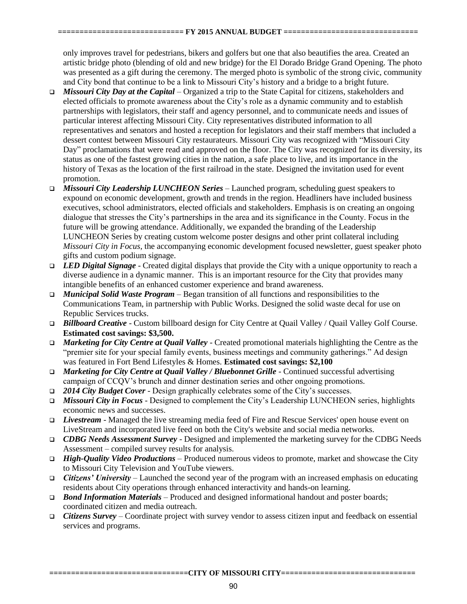only improves travel for pedestrians, bikers and golfers but one that also beautifies the area. Created an artistic bridge photo (blending of old and new bridge) for the El Dorado Bridge Grand Opening. The photo was presented as a gift during the ceremony. The merged photo is symbolic of the strong civic, community and City bond that continue to be a link to Missouri City's history and a bridge to a bright future.

- *Missouri City Day at the Capital*  Organized a trip to the State Capital for citizens, stakeholders and elected officials to promote awareness about the City's role as a dynamic community and to establish partnerships with legislators, their staff and agency personnel, and to communicate needs and issues of particular interest affecting Missouri City. City representatives distributed information to all representatives and senators and hosted a reception for legislators and their staff members that included a dessert contest between Missouri City restaurateurs. Missouri City was recognized with "Missouri City Day" proclamations that were read and approved on the floor. The City was recognized for its diversity, its status as one of the fastest growing cities in the nation, a safe place to live, and its importance in the history of Texas as the location of the first railroad in the state. Designed the invitation used for event promotion.
- *Missouri City Leadership LUNCHEON Series* Launched program, scheduling guest speakers to expound on economic development, growth and trends in the region. Headliners have included business executives, school administrators, elected officials and stakeholders. Emphasis is on creating an ongoing dialogue that stresses the City's partnerships in the area and its significance in the County. Focus in the future will be growing attendance. Additionally, we expanded the branding of the Leadership LUNCHEON Series by creating custom welcome poster designs and other print collateral including *Missouri City in Focus*, the accompanying economic development focused newsletter, guest speaker photo gifts and custom podium signage.
- *LED Digital Signage* Created digital displays that provide the City with a unique opportunity to reach a diverse audience in a dynamic manner. This is an important resource for the City that provides many intangible benefits of an enhanced customer experience and brand awareness.
- *Municipal Solid Waste Program* Began transition of all functions and responsibilities to the Communications Team, in partnership with Public Works. Designed the solid waste decal for use on Republic Services trucks.
- *Billboard Creative* Custom billboard design for City Centre at Quail Valley / Quail Valley Golf Course. **Estimated cost savings: \$3,500.**
- *Marketing for City Centre at Quail Valley* Created promotional materials highlighting the Centre as the "premier site for your special family events, business meetings and community gatherings." Ad design was featured in Fort Bend Lifestyles & Homes. **Estimated cost savings: \$2,100**
- *Marketing for City Centre at Quail Valley / Bluebonnet Grille -* Continued successful advertising campaign of CCQV's brunch and dinner destination series and other ongoing promotions.
- *2014 City Budget Cover* Design graphically celebrates some of the City's successes.
- *Missouri City in Focus*  Designed to complement the City's Leadership LUNCHEON series, highlights economic news and successes.
- *Livestream* Managed the live streaming media feed of Fire and Rescue Services' open house event on LiveStream and incorporated live feed on both the City's website and social media networks.
- *CDBG Needs Assessment Survey*  Designed and implemented the marketing survey for the CDBG Needs Assessment – compiled survey results for analysis.
- *High-Quality Video Productions*  Produced numerous videos to promote, market and showcase the City to Missouri City Television and YouTube viewers.
- *Citizens' University*  Launched the second year of the program with an increased emphasis on educating residents about City operations through enhanced interactivity and hands-on learning.
- *Bond Information Materials*  Produced and designed informational handout and poster boards; coordinated citizen and media outreach.
- *Citizens Survey*  Coordinate project with survey vendor to assess citizen input and feedback on essential services and programs.

**================================CITY OF MISSOURI CITY===============================**